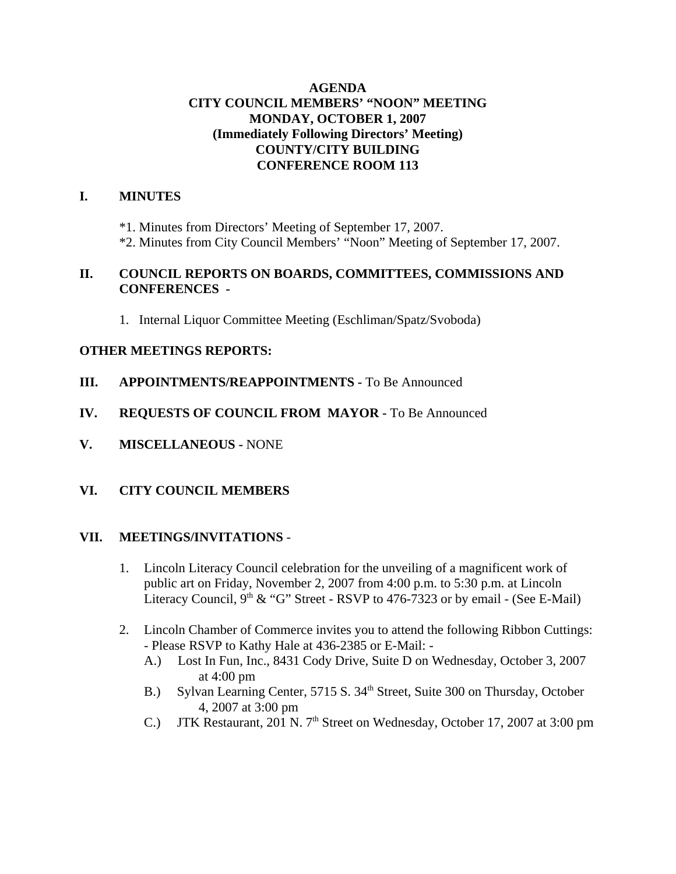## **AGENDA CITY COUNCIL MEMBERS' "NOON" MEETING MONDAY, OCTOBER 1, 2007 (Immediately Following Directors' Meeting) COUNTY/CITY BUILDING CONFERENCE ROOM 113**

# **I. MINUTES**

\*1. Minutes from Directors' Meeting of September 17, 2007.

\*2. Minutes from City Council Members' "Noon" Meeting of September 17, 2007.

# **II. COUNCIL REPORTS ON BOARDS, COMMITTEES, COMMISSIONS AND CONFERENCES -**

1. Internal Liquor Committee Meeting (Eschliman/Spatz/Svoboda)

# **OTHER MEETINGS REPORTS:**

- **III.** APPOINTMENTS/REAPPOINTMENTS To Be Announced
- **IV. REQUESTS OF COUNCIL FROM MAYOR -** To Be Announced
- **V. MISCELLANEOUS** NONE

# **VI. CITY COUNCIL MEMBERS**

#### **VII. MEETINGS/INVITATIONS** -

- 1. Lincoln Literacy Council celebration for the unveiling of a magnificent work of public art on Friday, November 2, 2007 from 4:00 p.m. to 5:30 p.m. at Lincoln Literacy Council,  $9<sup>th</sup> \& ^\circ G$ " Street - RSVP to 476-7323 or by email - (See E-Mail)
- 2. Lincoln Chamber of Commerce invites you to attend the following Ribbon Cuttings: - Please RSVP to Kathy Hale at 436-2385 or E-Mail: -
	- A.) Lost In Fun, Inc., 8431 Cody Drive, Suite D on Wednesday, October 3, 2007 at 4:00 pm
	- B.) Sylvan Learning Center, 5715 S. 34<sup>th</sup> Street, Suite 300 on Thursday, October 4, 2007 at 3:00 pm
	- C.) JTK Restaurant, 201 N. 7<sup>th</sup> Street on Wednesday, October 17, 2007 at 3:00 pm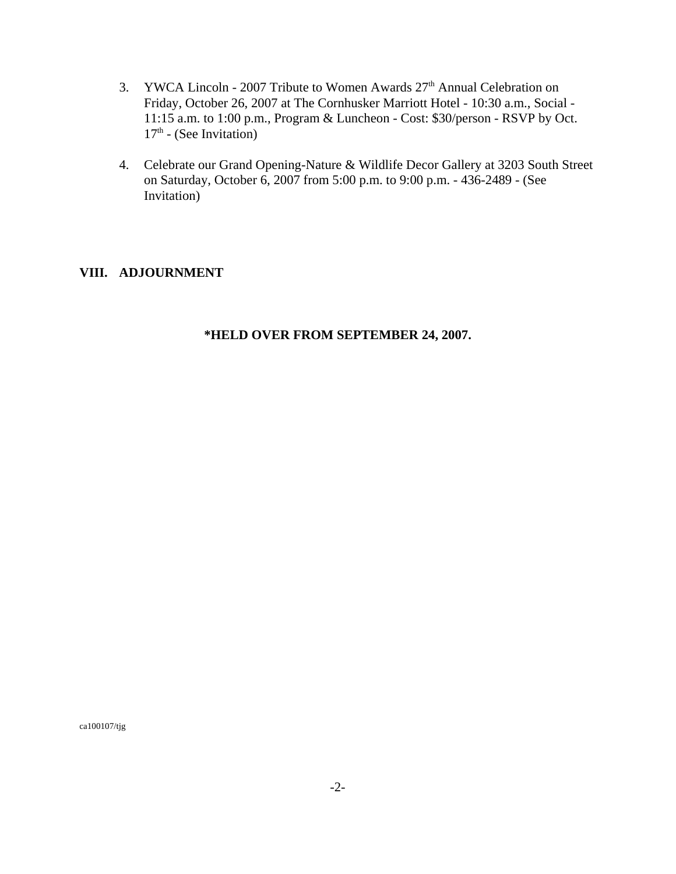- 3. YWCA Lincoln 2007 Tribute to Women Awards  $27<sup>th</sup>$  Annual Celebration on Friday, October 26, 2007 at The Cornhusker Marriott Hotel - 10:30 a.m., Social - 11:15 a.m. to 1:00 p.m., Program & Luncheon - Cost: \$30/person - RSVP by Oct.  $17<sup>th</sup>$  - (See Invitation)
- 4. Celebrate our Grand Opening-Nature & Wildlife Decor Gallery at 3203 South Street on Saturday, October 6, 2007 from 5:00 p.m. to 9:00 p.m. - 436-2489 - (See Invitation)

# **VIII. ADJOURNMENT**

# **\*HELD OVER FROM SEPTEMBER 24, 2007.**

ca100107/tjg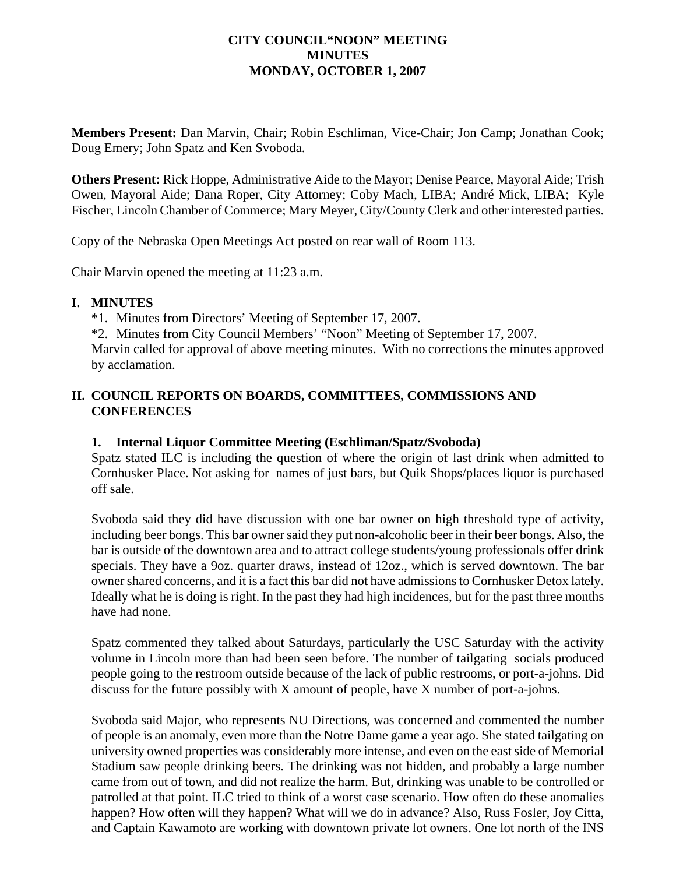## **CITY COUNCIL"NOON" MEETING MINUTES MONDAY, OCTOBER 1, 2007**

**Members Present:** Dan Marvin, Chair; Robin Eschliman, Vice-Chair; Jon Camp; Jonathan Cook; Doug Emery; John Spatz and Ken Svoboda.

**Others Present:** Rick Hoppe, Administrative Aide to the Mayor; Denise Pearce, Mayoral Aide; Trish Owen, Mayoral Aide; Dana Roper, City Attorney; Coby Mach, LIBA; André Mick, LIBA; Kyle Fischer, Lincoln Chamber of Commerce; Mary Meyer, City/County Clerk and other interested parties.

Copy of the Nebraska Open Meetings Act posted on rear wall of Room 113.

Chair Marvin opened the meeting at 11:23 a.m.

#### **I. MINUTES**

\*1. Minutes from Directors' Meeting of September 17, 2007.

\*2. Minutes from City Council Members' "Noon" Meeting of September 17, 2007.

Marvin called for approval of above meeting minutes. With no corrections the minutes approved by acclamation.

# **II. COUNCIL REPORTS ON BOARDS, COMMITTEES, COMMISSIONS AND CONFERENCES**

#### **1. Internal Liquor Committee Meeting (Eschliman/Spatz/Svoboda)**

Spatz stated ILC is including the question of where the origin of last drink when admitted to Cornhusker Place. Not asking for names of just bars, but Quik Shops/places liquor is purchased off sale.

Svoboda said they did have discussion with one bar owner on high threshold type of activity, including beer bongs. This bar owner said they put non-alcoholic beer in their beer bongs. Also, the bar is outside of the downtown area and to attract college students/young professionals offer drink specials. They have a 9oz. quarter draws, instead of 12oz., which is served downtown. The bar owner shared concerns, and it is a fact this bar did not have admissions to Cornhusker Detox lately. Ideally what he is doing is right. In the past they had high incidences, but for the past three months have had none.

Spatz commented they talked about Saturdays, particularly the USC Saturday with the activity volume in Lincoln more than had been seen before. The number of tailgating socials produced people going to the restroom outside because of the lack of public restrooms, or port-a-johns. Did discuss for the future possibly with X amount of people, have X number of port-a-johns.

Svoboda said Major, who represents NU Directions, was concerned and commented the number of people is an anomaly, even more than the Notre Dame game a year ago. She stated tailgating on university owned properties was considerably more intense, and even on the east side of Memorial Stadium saw people drinking beers. The drinking was not hidden, and probably a large number came from out of town, and did not realize the harm. But, drinking was unable to be controlled or patrolled at that point. ILC tried to think of a worst case scenario. How often do these anomalies happen? How often will they happen? What will we do in advance? Also, Russ Fosler, Joy Citta, and Captain Kawamoto are working with downtown private lot owners. One lot north of the INS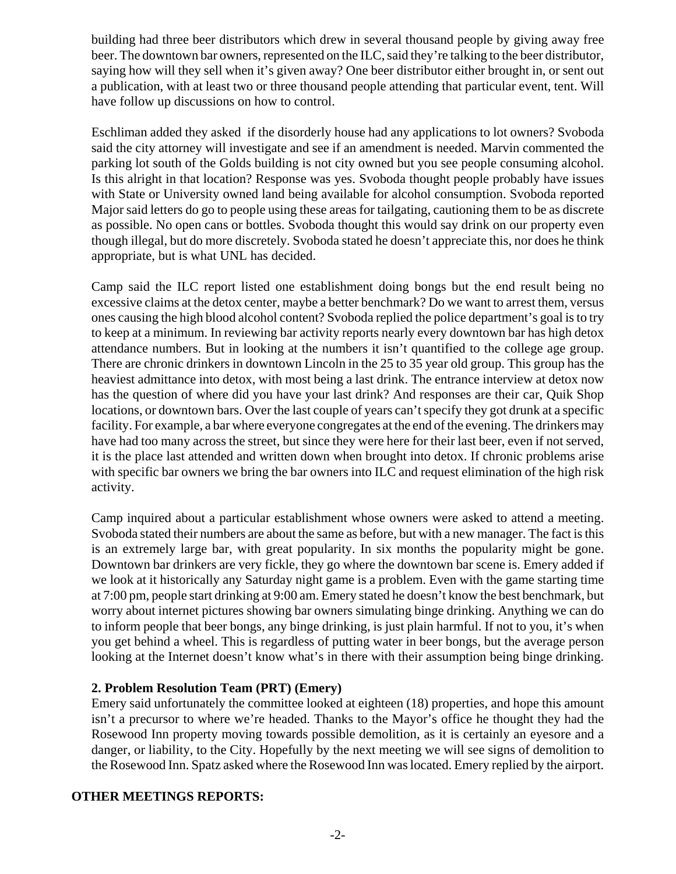building had three beer distributors which drew in several thousand people by giving away free beer. The downtown bar owners, represented on the ILC, said they're talking to the beer distributor, saying how will they sell when it's given away? One beer distributor either brought in, or sent out a publication, with at least two or three thousand people attending that particular event, tent. Will have follow up discussions on how to control.

Eschliman added they asked if the disorderly house had any applications to lot owners? Svoboda said the city attorney will investigate and see if an amendment is needed. Marvin commented the parking lot south of the Golds building is not city owned but you see people consuming alcohol. Is this alright in that location? Response was yes. Svoboda thought people probably have issues with State or University owned land being available for alcohol consumption. Svoboda reported Major said letters do go to people using these areas for tailgating, cautioning them to be as discrete as possible. No open cans or bottles. Svoboda thought this would say drink on our property even though illegal, but do more discretely. Svoboda stated he doesn't appreciate this, nor does he think appropriate, but is what UNL has decided.

Camp said the ILC report listed one establishment doing bongs but the end result being no excessive claims at the detox center, maybe a better benchmark? Do we want to arrest them, versus ones causing the high blood alcohol content? Svoboda replied the police department's goal is to try to keep at a minimum. In reviewing bar activity reports nearly every downtown bar has high detox attendance numbers. But in looking at the numbers it isn't quantified to the college age group. There are chronic drinkers in downtown Lincoln in the 25 to 35 year old group. This group has the heaviest admittance into detox, with most being a last drink. The entrance interview at detox now has the question of where did you have your last drink? And responses are their car, Quik Shop locations, or downtown bars. Over the last couple of years can't specify they got drunk at a specific facility. For example, a bar where everyone congregates at the end of the evening. The drinkers may have had too many across the street, but since they were here for their last beer, even if not served, it is the place last attended and written down when brought into detox. If chronic problems arise with specific bar owners we bring the bar owners into ILC and request elimination of the high risk activity.

Camp inquired about a particular establishment whose owners were asked to attend a meeting. Svoboda stated their numbers are about the same as before, but with a new manager. The fact is this is an extremely large bar, with great popularity. In six months the popularity might be gone. Downtown bar drinkers are very fickle, they go where the downtown bar scene is. Emery added if we look at it historically any Saturday night game is a problem. Even with the game starting time at 7:00 pm, people start drinking at 9:00 am. Emery stated he doesn't know the best benchmark, but worry about internet pictures showing bar owners simulating binge drinking. Anything we can do to inform people that beer bongs, any binge drinking, is just plain harmful. If not to you, it's when you get behind a wheel. This is regardless of putting water in beer bongs, but the average person looking at the Internet doesn't know what's in there with their assumption being binge drinking.

# **2. Problem Resolution Team (PRT) (Emery)**

Emery said unfortunately the committee looked at eighteen (18) properties, and hope this amount isn't a precursor to where we're headed. Thanks to the Mayor's office he thought they had the Rosewood Inn property moving towards possible demolition, as it is certainly an eyesore and a danger, or liability, to the City. Hopefully by the next meeting we will see signs of demolition to the Rosewood Inn. Spatz asked where the Rosewood Inn was located. Emery replied by the airport.

# **OTHER MEETINGS REPORTS:**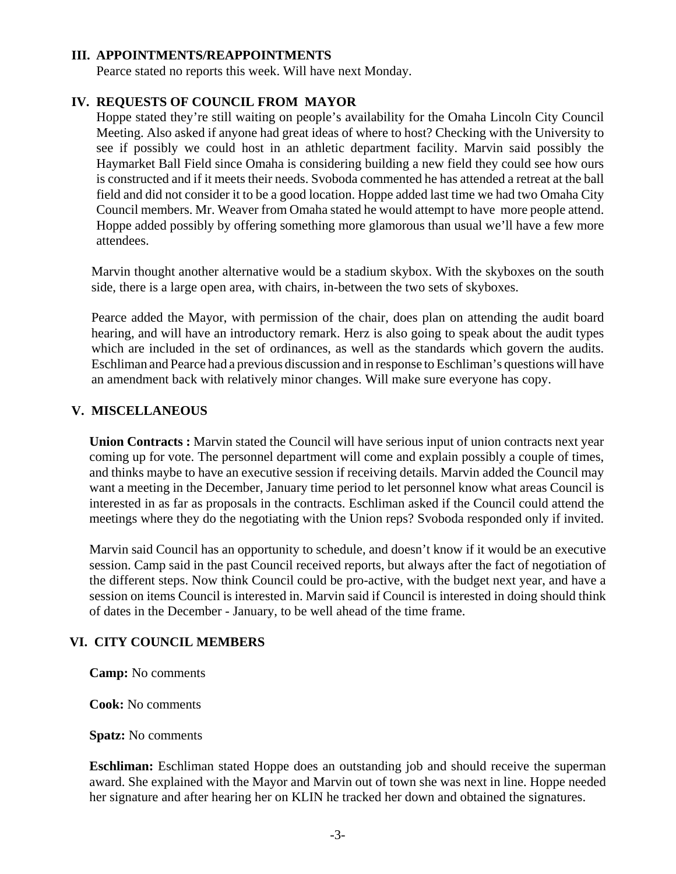#### **III. APPOINTMENTS/REAPPOINTMENTS**

Pearce stated no reports this week. Will have next Monday.

# **IV. REQUESTS OF COUNCIL FROM MAYOR**

Hoppe stated they're still waiting on people's availability for the Omaha Lincoln City Council Meeting. Also asked if anyone had great ideas of where to host? Checking with the University to see if possibly we could host in an athletic department facility. Marvin said possibly the Haymarket Ball Field since Omaha is considering building a new field they could see how ours is constructed and if it meets their needs. Svoboda commented he has attended a retreat at the ball field and did not consider it to be a good location. Hoppe added last time we had two Omaha City Council members. Mr. Weaver from Omaha stated he would attempt to have more people attend. Hoppe added possibly by offering something more glamorous than usual we'll have a few more attendees.

Marvin thought another alternative would be a stadium skybox. With the skyboxes on the south side, there is a large open area, with chairs, in-between the two sets of skyboxes.

Pearce added the Mayor, with permission of the chair, does plan on attending the audit board hearing, and will have an introductory remark. Herz is also going to speak about the audit types which are included in the set of ordinances, as well as the standards which govern the audits. Eschliman and Pearce had a previous discussion and in response to Eschliman's questions will have an amendment back with relatively minor changes. Will make sure everyone has copy.

# **V. MISCELLANEOUS**

**Union Contracts :** Marvin stated the Council will have serious input of union contracts next year coming up for vote. The personnel department will come and explain possibly a couple of times, and thinks maybe to have an executive session if receiving details. Marvin added the Council may want a meeting in the December, January time period to let personnel know what areas Council is interested in as far as proposals in the contracts. Eschliman asked if the Council could attend the meetings where they do the negotiating with the Union reps? Svoboda responded only if invited.

Marvin said Council has an opportunity to schedule, and doesn't know if it would be an executive session. Camp said in the past Council received reports, but always after the fact of negotiation of the different steps. Now think Council could be pro-active, with the budget next year, and have a session on items Council is interested in. Marvin said if Council is interested in doing should think of dates in the December - January, to be well ahead of the time frame.

# **VI. CITY COUNCIL MEMBERS**

**Camp:** No comments

**Cook:** No comments

**Spatz:** No comments

**Eschliman:** Eschliman stated Hoppe does an outstanding job and should receive the superman award. She explained with the Mayor and Marvin out of town she was next in line. Hoppe needed her signature and after hearing her on KLIN he tracked her down and obtained the signatures.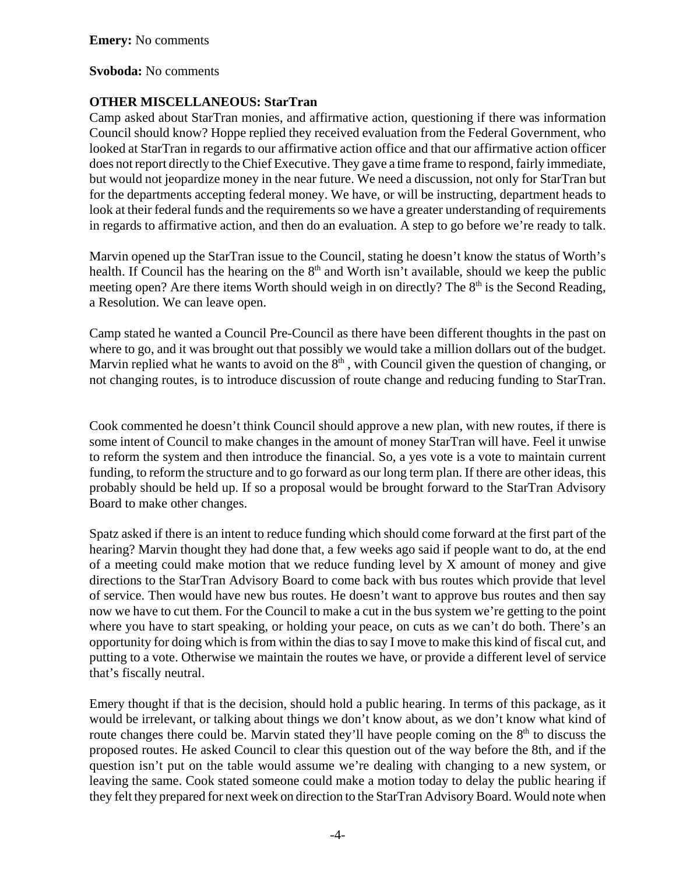#### **Svoboda:** No comments

# **OTHER MISCELLANEOUS: StarTran**

Camp asked about StarTran monies, and affirmative action, questioning if there was information Council should know? Hoppe replied they received evaluation from the Federal Government, who looked at StarTran in regards to our affirmative action office and that our affirmative action officer does not report directly to the Chief Executive. They gave a time frame to respond, fairly immediate, but would not jeopardize money in the near future. We need a discussion, not only for StarTran but for the departments accepting federal money. We have, or will be instructing, department heads to look at their federal funds and the requirements so we have a greater understanding of requirements in regards to affirmative action, and then do an evaluation. A step to go before we're ready to talk.

Marvin opened up the StarTran issue to the Council, stating he doesn't know the status of Worth's health. If Council has the hearing on the  $8<sup>th</sup>$  and Worth isn't available, should we keep the public meeting open? Are there items Worth should weigh in on directly? The 8<sup>th</sup> is the Second Reading, a Resolution. We can leave open.

Camp stated he wanted a Council Pre-Council as there have been different thoughts in the past on where to go, and it was brought out that possibly we would take a million dollars out of the budget. Marvin replied what he wants to avoid on the  $8<sup>th</sup>$ , with Council given the question of changing, or not changing routes, is to introduce discussion of route change and reducing funding to StarTran.

Cook commented he doesn't think Council should approve a new plan, with new routes, if there is some intent of Council to make changes in the amount of money StarTran will have. Feel it unwise to reform the system and then introduce the financial. So, a yes vote is a vote to maintain current funding, to reform the structure and to go forward as our long term plan. If there are other ideas, this probably should be held up. If so a proposal would be brought forward to the StarTran Advisory Board to make other changes.

Spatz asked if there is an intent to reduce funding which should come forward at the first part of the hearing? Marvin thought they had done that, a few weeks ago said if people want to do, at the end of a meeting could make motion that we reduce funding level by X amount of money and give directions to the StarTran Advisory Board to come back with bus routes which provide that level of service. Then would have new bus routes. He doesn't want to approve bus routes and then say now we have to cut them. For the Council to make a cut in the bus system we're getting to the point where you have to start speaking, or holding your peace, on cuts as we can't do both. There's an opportunity for doing which is from within the dias to say I move to make this kind of fiscal cut, and putting to a vote. Otherwise we maintain the routes we have, or provide a different level of service that's fiscally neutral.

Emery thought if that is the decision, should hold a public hearing. In terms of this package, as it would be irrelevant, or talking about things we don't know about, as we don't know what kind of route changes there could be. Marvin stated they'll have people coming on the  $8<sup>th</sup>$  to discuss the proposed routes. He asked Council to clear this question out of the way before the 8th, and if the question isn't put on the table would assume we're dealing with changing to a new system, or leaving the same. Cook stated someone could make a motion today to delay the public hearing if they felt they prepared for next week on direction to the StarTran Advisory Board. Would note when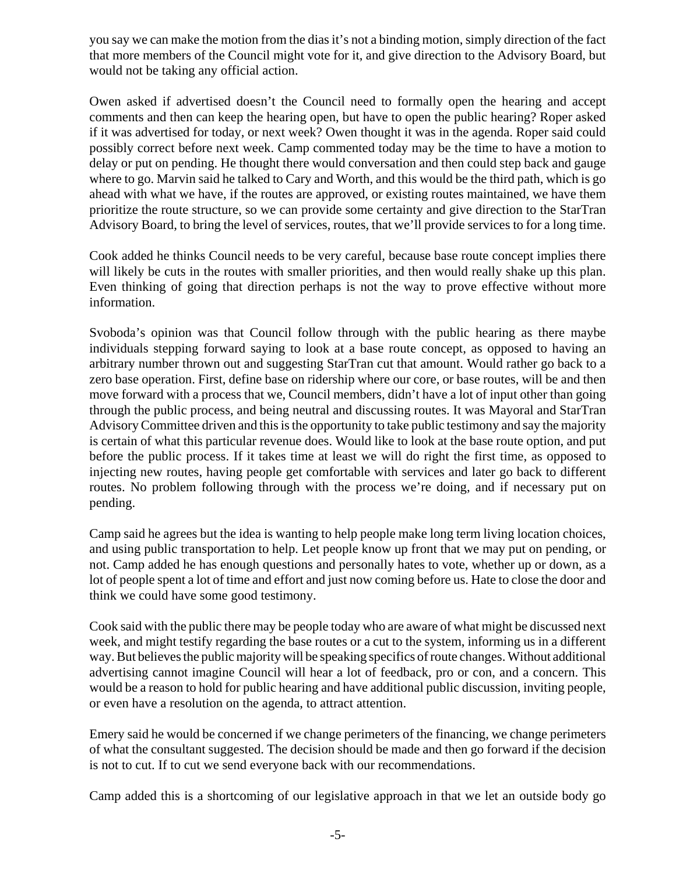you say we can make the motion from the dias it's not a binding motion, simply direction of the fact that more members of the Council might vote for it, and give direction to the Advisory Board, but would not be taking any official action.

Owen asked if advertised doesn't the Council need to formally open the hearing and accept comments and then can keep the hearing open, but have to open the public hearing? Roper asked if it was advertised for today, or next week? Owen thought it was in the agenda. Roper said could possibly correct before next week. Camp commented today may be the time to have a motion to delay or put on pending. He thought there would conversation and then could step back and gauge where to go. Marvin said he talked to Cary and Worth, and this would be the third path, which is go ahead with what we have, if the routes are approved, or existing routes maintained, we have them prioritize the route structure, so we can provide some certainty and give direction to the StarTran Advisory Board, to bring the level of services, routes, that we'll provide services to for a long time.

Cook added he thinks Council needs to be very careful, because base route concept implies there will likely be cuts in the routes with smaller priorities, and then would really shake up this plan. Even thinking of going that direction perhaps is not the way to prove effective without more information.

Svoboda's opinion was that Council follow through with the public hearing as there maybe individuals stepping forward saying to look at a base route concept, as opposed to having an arbitrary number thrown out and suggesting StarTran cut that amount. Would rather go back to a zero base operation. First, define base on ridership where our core, or base routes, will be and then move forward with a process that we, Council members, didn't have a lot of input other than going through the public process, and being neutral and discussing routes. It was Mayoral and StarTran Advisory Committee driven and this is the opportunity to take public testimony and say the majority is certain of what this particular revenue does. Would like to look at the base route option, and put before the public process. If it takes time at least we will do right the first time, as opposed to injecting new routes, having people get comfortable with services and later go back to different routes. No problem following through with the process we're doing, and if necessary put on pending.

Camp said he agrees but the idea is wanting to help people make long term living location choices, and using public transportation to help. Let people know up front that we may put on pending, or not. Camp added he has enough questions and personally hates to vote, whether up or down, as a lot of people spent a lot of time and effort and just now coming before us. Hate to close the door and think we could have some good testimony.

Cook said with the public there may be people today who are aware of what might be discussed next week, and might testify regarding the base routes or a cut to the system, informing us in a different way. But believes the public majority will be speaking specifics of route changes. Without additional advertising cannot imagine Council will hear a lot of feedback, pro or con, and a concern. This would be a reason to hold for public hearing and have additional public discussion, inviting people, or even have a resolution on the agenda, to attract attention.

Emery said he would be concerned if we change perimeters of the financing, we change perimeters of what the consultant suggested. The decision should be made and then go forward if the decision is not to cut. If to cut we send everyone back with our recommendations.

Camp added this is a shortcoming of our legislative approach in that we let an outside body go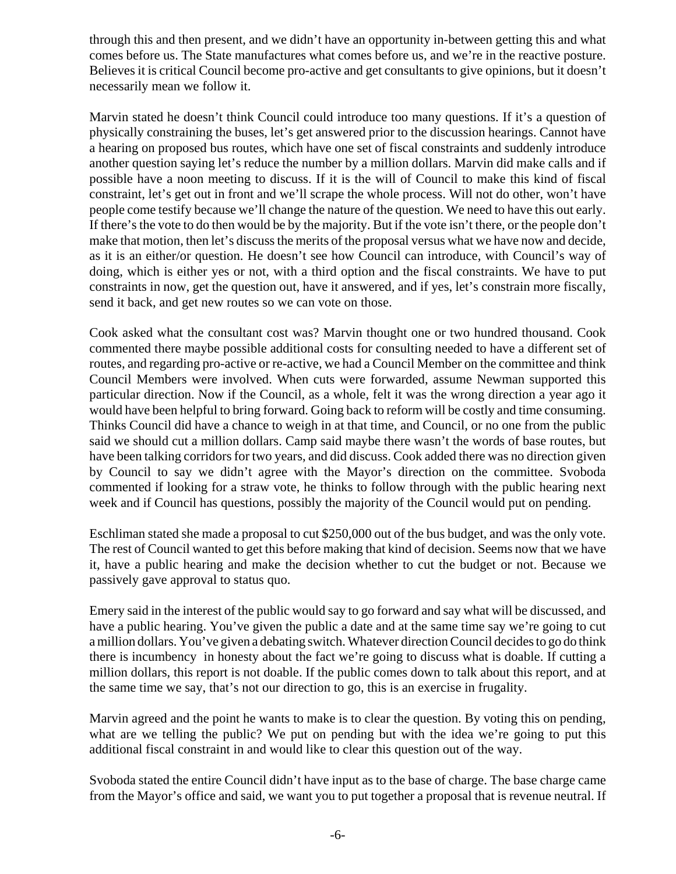through this and then present, and we didn't have an opportunity in-between getting this and what comes before us. The State manufactures what comes before us, and we're in the reactive posture. Believes it is critical Council become pro-active and get consultants to give opinions, but it doesn't necessarily mean we follow it.

Marvin stated he doesn't think Council could introduce too many questions. If it's a question of physically constraining the buses, let's get answered prior to the discussion hearings. Cannot have a hearing on proposed bus routes, which have one set of fiscal constraints and suddenly introduce another question saying let's reduce the number by a million dollars. Marvin did make calls and if possible have a noon meeting to discuss. If it is the will of Council to make this kind of fiscal constraint, let's get out in front and we'll scrape the whole process. Will not do other, won't have people come testify because we'll change the nature of the question. We need to have this out early. If there's the vote to do then would be by the majority. But if the vote isn't there, or the people don't make that motion, then let's discuss the merits of the proposal versus what we have now and decide, as it is an either/or question. He doesn't see how Council can introduce, with Council's way of doing, which is either yes or not, with a third option and the fiscal constraints. We have to put constraints in now, get the question out, have it answered, and if yes, let's constrain more fiscally, send it back, and get new routes so we can vote on those.

Cook asked what the consultant cost was? Marvin thought one or two hundred thousand. Cook commented there maybe possible additional costs for consulting needed to have a different set of routes, and regarding pro-active or re-active, we had a Council Member on the committee and think Council Members were involved. When cuts were forwarded, assume Newman supported this particular direction. Now if the Council, as a whole, felt it was the wrong direction a year ago it would have been helpful to bring forward. Going back to reform will be costly and time consuming. Thinks Council did have a chance to weigh in at that time, and Council, or no one from the public said we should cut a million dollars. Camp said maybe there wasn't the words of base routes, but have been talking corridors for two years, and did discuss. Cook added there was no direction given by Council to say we didn't agree with the Mayor's direction on the committee. Svoboda commented if looking for a straw vote, he thinks to follow through with the public hearing next week and if Council has questions, possibly the majority of the Council would put on pending.

Eschliman stated she made a proposal to cut \$250,000 out of the bus budget, and was the only vote. The rest of Council wanted to get this before making that kind of decision. Seems now that we have it, have a public hearing and make the decision whether to cut the budget or not. Because we passively gave approval to status quo.

Emery said in the interest of the public would say to go forward and say what will be discussed, and have a public hearing. You've given the public a date and at the same time say we're going to cut a million dollars. You've given a debating switch. Whatever direction Council decides to go do think there is incumbency in honesty about the fact we're going to discuss what is doable. If cutting a million dollars, this report is not doable. If the public comes down to talk about this report, and at the same time we say, that's not our direction to go, this is an exercise in frugality.

Marvin agreed and the point he wants to make is to clear the question. By voting this on pending, what are we telling the public? We put on pending but with the idea we're going to put this additional fiscal constraint in and would like to clear this question out of the way.

Svoboda stated the entire Council didn't have input as to the base of charge. The base charge came from the Mayor's office and said, we want you to put together a proposal that is revenue neutral. If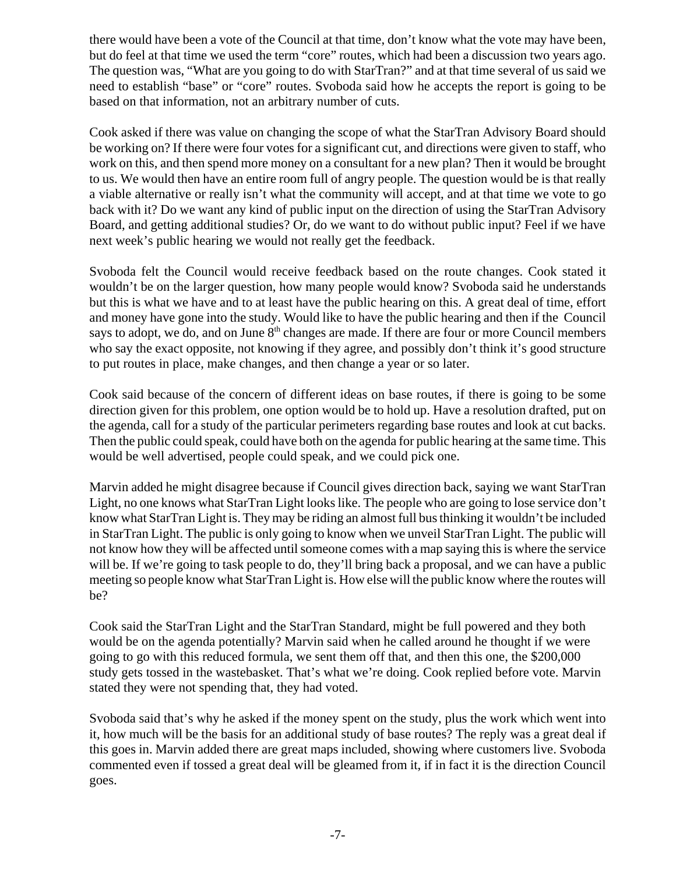there would have been a vote of the Council at that time, don't know what the vote may have been, but do feel at that time we used the term "core" routes, which had been a discussion two years ago. The question was, "What are you going to do with StarTran?" and at that time several of us said we need to establish "base" or "core" routes. Svoboda said how he accepts the report is going to be based on that information, not an arbitrary number of cuts.

Cook asked if there was value on changing the scope of what the StarTran Advisory Board should be working on? If there were four votes for a significant cut, and directions were given to staff, who work on this, and then spend more money on a consultant for a new plan? Then it would be brought to us. We would then have an entire room full of angry people. The question would be is that really a viable alternative or really isn't what the community will accept, and at that time we vote to go back with it? Do we want any kind of public input on the direction of using the StarTran Advisory Board, and getting additional studies? Or, do we want to do without public input? Feel if we have next week's public hearing we would not really get the feedback.

Svoboda felt the Council would receive feedback based on the route changes. Cook stated it wouldn't be on the larger question, how many people would know? Svoboda said he understands but this is what we have and to at least have the public hearing on this. A great deal of time, effort and money have gone into the study. Would like to have the public hearing and then if the Council says to adopt, we do, and on June  $8<sup>th</sup>$  changes are made. If there are four or more Council members who say the exact opposite, not knowing if they agree, and possibly don't think it's good structure to put routes in place, make changes, and then change a year or so later.

Cook said because of the concern of different ideas on base routes, if there is going to be some direction given for this problem, one option would be to hold up. Have a resolution drafted, put on the agenda, call for a study of the particular perimeters regarding base routes and look at cut backs. Then the public could speak, could have both on the agenda for public hearing at the same time. This would be well advertised, people could speak, and we could pick one.

Marvin added he might disagree because if Council gives direction back, saying we want StarTran Light, no one knows what StarTran Light looks like. The people who are going to lose service don't know what StarTran Light is. They may be riding an almost full bus thinking it wouldn't be included in StarTran Light. The public is only going to know when we unveil StarTran Light. The public will not know how they will be affected until someone comes with a map saying this is where the service will be. If we're going to task people to do, they'll bring back a proposal, and we can have a public meeting so people know what StarTran Light is. How else will the public know where the routes will be?

Cook said the StarTran Light and the StarTran Standard, might be full powered and they both would be on the agenda potentially? Marvin said when he called around he thought if we were going to go with this reduced formula, we sent them off that, and then this one, the \$200,000 study gets tossed in the wastebasket. That's what we're doing. Cook replied before vote. Marvin stated they were not spending that, they had voted.

Svoboda said that's why he asked if the money spent on the study, plus the work which went into it, how much will be the basis for an additional study of base routes? The reply was a great deal if this goes in. Marvin added there are great maps included, showing where customers live. Svoboda commented even if tossed a great deal will be gleamed from it, if in fact it is the direction Council goes.